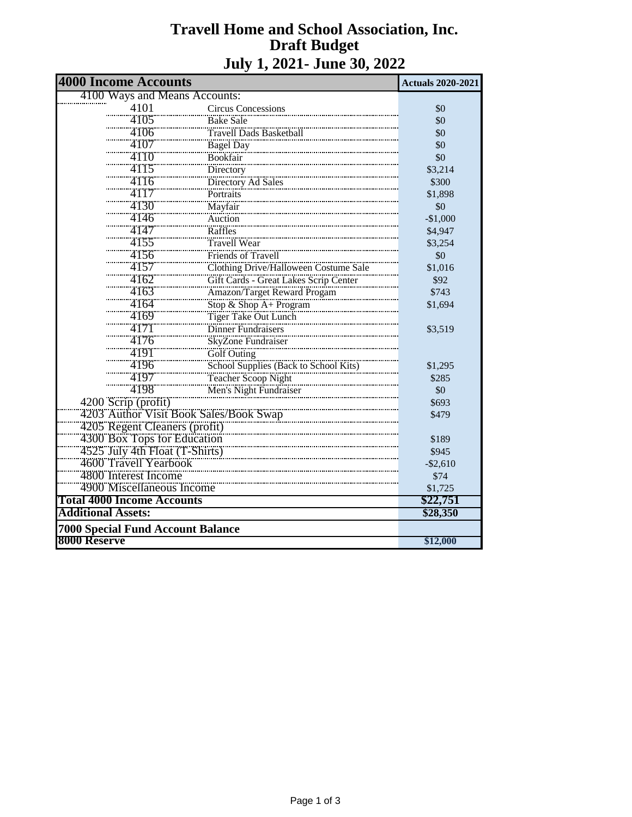## **Travell Home and School Association, Inc. Draft Budget July 1, 2021- June 30, 2022**

| <b>4000 Income Accounts</b>                                                                                             | <b>Actuals 2020-2021</b>                                                                              |             |  |  |
|-------------------------------------------------------------------------------------------------------------------------|-------------------------------------------------------------------------------------------------------|-------------|--|--|
| 4100 Ways and Means Accounts:                                                                                           |                                                                                                       |             |  |  |
| 4101                                                                                                                    | Circus Concessions                                                                                    | \$0         |  |  |
| 4105                                                                                                                    | <b>Bake Sale</b>                                                                                      | \$0         |  |  |
| 4106                                                                                                                    | Travell Dads Basketball                                                                               | \$0         |  |  |
| 4107                                                                                                                    |                                                                                                       | \$0         |  |  |
| 4110                                                                                                                    | Bagel Day<br>Bookfair                                                                                 | \$0         |  |  |
| 4115                                                                                                                    | Directory                                                                                             | \$3,214     |  |  |
| 4116                                                                                                                    | Directory Ad Sales                                                                                    | \$300       |  |  |
| 4117                                                                                                                    | Portraits                                                                                             | \$1,898     |  |  |
| 4130                                                                                                                    | Mayfair                                                                                               | \$0         |  |  |
| 4146                                                                                                                    | Auction                                                                                               | $-$1,000$   |  |  |
| 4147                                                                                                                    | Raffles                                                                                               | \$4,947     |  |  |
| 4155                                                                                                                    |                                                                                                       | \$3,254     |  |  |
| 4156                                                                                                                    | Friends of Travell                                                                                    | \$0         |  |  |
| 4157                                                                                                                    | Clothing Drive/Halloween Costume Sale                                                                 | \$1,016     |  |  |
| 4162                                                                                                                    | Gift Cards - Great Lakes Scrip Center                                                                 | \$92        |  |  |
| 4163                                                                                                                    | Amazon/Target Reward Progam                                                                           | \$743       |  |  |
| 4164                                                                                                                    | Stop & Shop A+ Program                                                                                | \$1,694     |  |  |
| 4169                                                                                                                    | Tiger Take Out Lunch                                                                                  |             |  |  |
| 4171                                                                                                                    | Dinner Fundraisers                                                                                    | \$3,519     |  |  |
| 4176                                                                                                                    | SkyZone Fundraiser                                                                                    |             |  |  |
| 4191                                                                                                                    |                                                                                                       |             |  |  |
| 4196                                                                                                                    |                                                                                                       | \$1,295     |  |  |
| 4197                                                                                                                    |                                                                                                       | \$285       |  |  |
| 4198                                                                                                                    | Golf Outing<br>School Supplies (Back to School Kits)<br>Teacher Scoop Night<br>Men's Night Fundraiser | \$0         |  |  |
| 4200 Scrip (profit)                                                                                                     |                                                                                                       | \$693       |  |  |
| 4203 Author Visit Book Sales/Book Swap                                                                                  |                                                                                                       | \$479       |  |  |
|                                                                                                                         |                                                                                                       |             |  |  |
|                                                                                                                         |                                                                                                       | \$189       |  |  |
| 4205 Regent Cleaners (profit)<br>4300 Box Tops for Education<br>4525 July 4th Float (T-Shirts)<br>4600 Travell Yearbook |                                                                                                       | \$945       |  |  |
|                                                                                                                         |                                                                                                       | $-$ \$2,610 |  |  |
| 4800 Interest Income                                                                                                    |                                                                                                       | \$74        |  |  |
| 4900 Miscellaneous Income                                                                                               |                                                                                                       | \$1,725     |  |  |
| <b>Total 4000 Income Accounts</b>                                                                                       |                                                                                                       | \$22,751    |  |  |
| <b>Additional Assets:</b>                                                                                               |                                                                                                       | \$28,350    |  |  |
| <b>7000 Special Fund Account Balance</b>                                                                                |                                                                                                       |             |  |  |
| 8000 Reserve                                                                                                            |                                                                                                       | \$12,000    |  |  |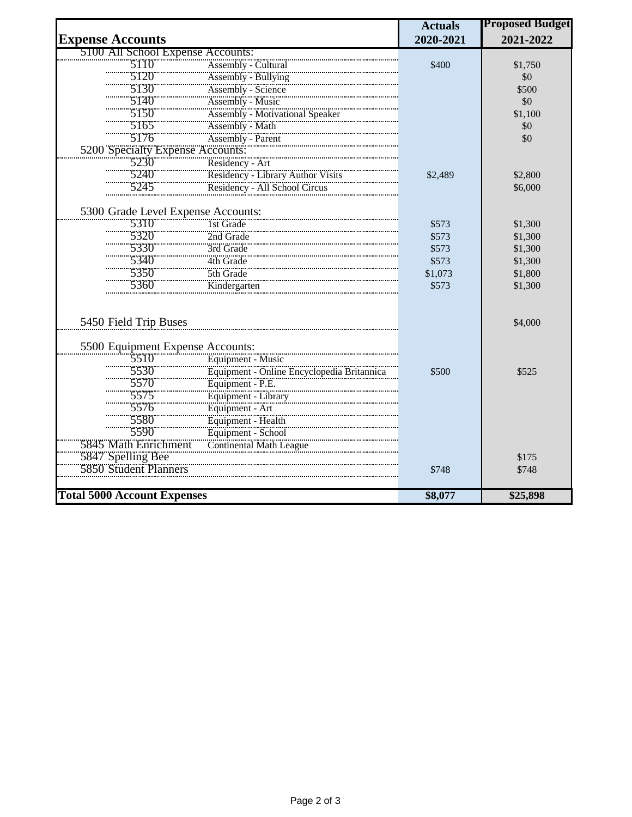|                                                                  |                                                                                                                                        | <b>Actuals</b> | <b>Proposed Budget</b> |
|------------------------------------------------------------------|----------------------------------------------------------------------------------------------------------------------------------------|----------------|------------------------|
| <b>Expense Accounts</b>                                          |                                                                                                                                        | 2020-2021      | 2021-2022              |
| 5100 All School Expense Accounts:                                |                                                                                                                                        |                |                        |
| 5110                                                             | Assembly - Cultural                                                                                                                    | \$400          | \$1,750                |
| 5120                                                             | Assembly - Bullying                                                                                                                    |                | \$0                    |
| 5130                                                             | Assembly - Science                                                                                                                     |                | \$500                  |
| 5140                                                             | Assembly - Music                                                                                                                       |                | \$0                    |
| 5150                                                             | <b>Assembly - Motivational Speaker</b>                                                                                                 |                | \$1,100                |
|                                                                  |                                                                                                                                        |                | \$0                    |
| 5105<br>5176 Assembly - Math<br>5200 Specialty Expense Accounts: |                                                                                                                                        |                | \$0                    |
|                                                                  |                                                                                                                                        |                |                        |
| 5230                                                             | Residency - Art                                                                                                                        |                |                        |
| 5240                                                             |                                                                                                                                        | \$2,489        | \$2,800                |
| 5245                                                             | Residency - Library Author Visits<br>Residency - Library Author Visits<br>Residency - All School Circus                                |                | \$6,000                |
| 5300 Grade Level Expense Accounts:                               |                                                                                                                                        |                |                        |
| 5310                                                             | 1st Grade                                                                                                                              | \$573          | \$1,300                |
| 5320                                                             | 2nd Grade                                                                                                                              | \$573          | \$1,300                |
| 5330                                                             | 3rd Grade                                                                                                                              | \$573          | \$1,300                |
| 5340                                                             | 4th Grade                                                                                                                              | \$573          | \$1,300                |
| 5350                                                             | 5th Grade                                                                                                                              | \$1,073        | \$1,800                |
| 5360                                                             | Kindergarten                                                                                                                           | \$573          | \$1,300                |
|                                                                  |                                                                                                                                        |                |                        |
| 5450 Field Trip Buses                                            |                                                                                                                                        |                | \$4,000                |
|                                                                  |                                                                                                                                        |                |                        |
|                                                                  | 5500 Equipment Expense Accounts:<br>5510 Equipment - Music<br>5530 Equipment - Online Encyclopedia Britannica<br>5570 Equipment - P.E. |                |                        |
|                                                                  |                                                                                                                                        |                |                        |
|                                                                  |                                                                                                                                        | \$500          | \$525                  |
|                                                                  |                                                                                                                                        |                |                        |
| 5575                                                             | Equipment - Library                                                                                                                    |                |                        |
| 5576                                                             | Equipment - Art<br>Equipment - Health                                                                                                  |                |                        |
| 5580                                                             |                                                                                                                                        |                |                        |
| 5590                                                             | Equipment - School                                                                                                                     |                |                        |
| 5845 Math Enrichment                                             | Continental Math League                                                                                                                |                |                        |
| 5847 Spelling Bee<br>5850 Student Planners                       |                                                                                                                                        |                | \$175                  |
|                                                                  |                                                                                                                                        | \$748          | \$748                  |
| <b>Total 5000 Account Expenses</b>                               |                                                                                                                                        | \$8,077        | \$25,898               |